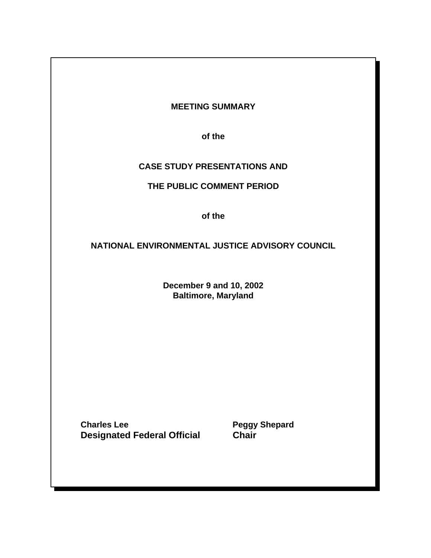# **MEETING SUMMARY**

**of the**

# **CASE STUDY PRESENTATIONS AND**

# **THE PUBLIC COMMENT PERIOD**

**of the**

# **NATIONAL ENVIRONMENTAL JUSTICE ADVISORY COUNCIL**

**December 9 and 10, 2002 Baltimore, Maryland**

**Charles Lee Peggy Shepard Designated Federal Official Chair**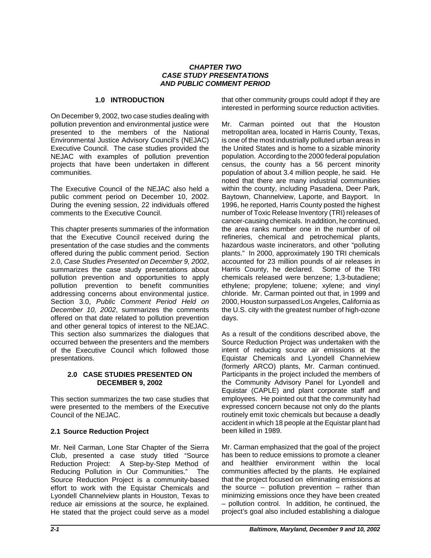### *CHAPTER TWO CASE STUDY PRESENTATIONS AND PUBLIC COMMENT PERIOD*

## **1.0 INTRODUCTION**

On December 9, 2002, two case studies dealing with pollution prevention and environmental justice were presented to the members of the National Environmental Justice Advisory Council's (NEJAC) Executive Council. The case studies provided the NEJAC with examples of pollution prevention projects that have been undertaken in different communities.

The Executive Council of the NEJAC also held a public comment period on December 10, 2002. During the evening session, 22 individuals offered comments to the Executive Council.

This chapter presents summaries of the information that the Executive Council received during the presentation of the case studies and the comments offered during the public comment period. Section 2.0, *Case Studies Presented on December 9, 2002*, summarizes the case study presentations about pollution prevention and opportunities to apply pollution prevention to benefit communities addressing concerns about environmental justice. Section 3.0, *Public Comment Period Held on December 10, 2002*, summarizes the comments offered on that date related to pollution prevention and other general topics of interest to the NEJAC. This section also summarizes the dialogues that occurred between the presenters and the members of the Executive Council which followed those presentations.

## **2.0 CASE STUDIES PRESENTED ON DECEMBER 9, 2002**

This section summarizes the two case studies that were presented to the members of the Executive Council of the NEJAC.

# **2.1 Source Reduction Project**

Mr. Neil Carman, Lone Star Chapter of the Sierra Club, presented a case study titled "Source Reduction Project: A Step-by-Step Method of Reducing Pollution in Our Communities." The Source Reduction Project is a community-based effort to work with the Equistar Chemicals and Lyondell Channelview plants in Houston, Texas to reduce air emissions at the source, he explained. He stated that the project could serve as a model that other community groups could adopt if they are interested in performing source reduction activities.

Mr. Carman pointed out that the Houston metropolitan area, located in Harris County, Texas, is one of the most industrially polluted urban areas in the United States and is home to a sizable minority population. According to the 2000 federal population census, the county has a 56 percent minority population of about 3.4 million people, he said. He noted that there are many industrial communities within the county, including Pasadena, Deer Park, Baytown, Channelview, Laporte, and Bayport. In 1996, he reported, Harris County posted the highest number of Toxic Release Inventory (TRI) releases of cancer-causing chemicals. In addition, he continued, the area ranks number one in the number of oil refineries, chemical and petrochemical plants, hazardous waste incinerators, and other "polluting plants." In 2000, approximately 190 TRI chemicals accounted for 23 million pounds of air releases in Harris County, he declared. Some of the TRI chemicals released were benzene; 1,3-butadiene; ethylene; propylene; toluene; xylene; and vinyl chloride. Mr. Carman pointed out that, in 1999 and 2000, Houston surpassed Los Angeles, California as the U.S. city with the greatest number of high-ozone days.

As a result of the conditions described above, the Source Reduction Project was undertaken with the intent of reducing source air emissions at the Equistar Chemicals and Lyondell Channelview (formerly ARCO) plants, Mr. Carman continued. Participants in the project included the members of the Community Advisory Panel for Lyondell and Equistar (CAPLE) and plant corporate staff and employees. He pointed out that the community had expressed concern because not only do the plants routinely emit toxic chemicals but because a deadly accident in which 18 people at the Equistar plant had been killed in 1989.

Mr. Carman emphasized that the goal of the project has been to reduce emissions to promote a cleaner and healthier environment within the local communities affected by the plants. He explained that the project focused on eliminating emissions at the source  $-$  pollution prevention  $-$  rather than minimizing emissions once they have been created – pollution control. In addition, he continued, the project's goal also included establishing a dialogue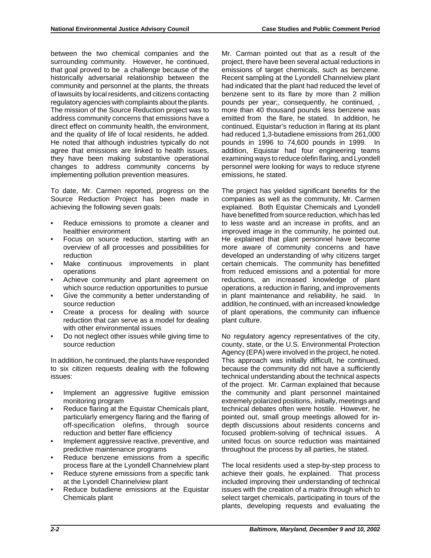between the two chemical companies and the surrounding community. However, he continued, that goal proved to be a challenge because of the historically adversarial relationship between the community and personnel at the plants, the threats of lawsuits by local residents, and citizens contacting regulatory agencies with complaints about the plants. The mission of the Source Reduction project was to address community concerns that emissions have a direct effect on community health, the environment, and the quality of life of local residents, he added. He noted that although industries typically do not agree that emissions are linked to health issues, they have been making substantive operational changes to address community concerns by implementing pollution prevention measures.

To date, Mr. Carmen reported, progress on the Source Reduction Project has been made in achieving the following seven goals:

- Reduce emissions to promote a cleaner and healthier environment
- Focus on source reduction, starting with an overview of all processes and possibilities for reduction
- Make continuous improvements in plant operations
- Achieve community and plant agreement on which source reduction opportunities to pursue
- Give the community a better understanding of source reduction
- Create a process for dealing with source reduction that can serve as a model for dealing with other environmental issues
- Do not neglect other issues while giving time to source reduction

In addition, he continued, the plants have responded to six citizen requests dealing with the following issues:

- Implement an aggressive fugitive emission monitoring program
- Reduce flaring at the Equistar Chemicals plant, particularly emergency flaring and the flaring of off-specification olefins, through source reduction and better flare efficiency
- Implement aggressive reactive, preventive, and predictive maintenance programs
- Reduce benzene emissions from a specific process flare at the Lyondell Channelview plant
- Reduce styrene emissions from a specific tank at the Lyondell Channelview plant
- Reduce butadiene emissions at the Equistar Chemicals plant

Mr. Carman pointed out that as a result of the project, there have been several actual reductions in emissions of target chemicals, such as benzene. Recent sampling at the Lyondell Channelview plant had indicated that the plant had reduced the level of benzene sent to its flare by more than 2 million pounds per year;, consequently, he continued, , more than 40 thousand pounds less benzene was emitted from the flare, he stated. In addition, he continued, Equistar's reduction in flaring at its plant had reduced 1,3-butadiene emissions from 261,000 pounds in 1996 to 74,600 pounds in 1999. In addition, Equistar had four engineering teams examining ways to reduce olefin flaring, and Lyondell personnel were looking for ways to reduce styrene emissions, he stated.

The project has yielded significant benefits for the companies as well as the community, Mr. Carmen explained. Both Equistar Chemicals and Lyondell have benefitted from source reduction, which has led to less waste and an increase in profits, and an improved image in the community, he pointed out. He explained that plant personnel have become more aware of community concerns and have developed an understanding of why citizens target certain chemicals. The community has benefitted from reduced emissions and a potential for more reductions, an increased knowledge of plant operations, a reduction in flaring, and improvements in plant maintenance and reliability, he said. In addition, he continued, with an increased knowledge of plant operations, the community can influence plant culture.

No regulatory agency representatives of the city, county, state, or the U.S. Environmental Protection Agency (EPA) were involved in the project, he noted. This approach was initially difficult, he continued, because the community did not have a sufficiently technical understanding about the technical aspects of the project. Mr. Carman explained that because the community and plant personnel maintained extremely polarized positions, initially, meetings and technical debates often were hostile. However, he pointed out, small group meetings allowed for indepth discussions about residents concerns and focused problem-solving of technical issues. A united focus on source reduction was maintained throughout the process by all parties, he stated.

The local residents used a step-by-step process to achieve their goals, he explained. That process included improving their understanding of technical issues with the creation of a matrix through which to select target chemicals, participating in tours of the plants, developing requests and evaluating the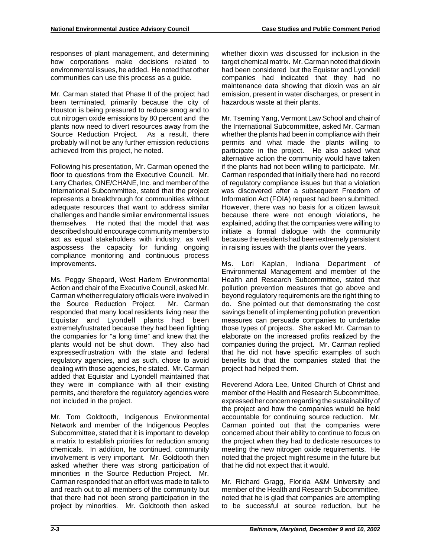responses of plant management, and determining how corporations make decisions related to environmental issues, he added. He noted that other communities can use this process as a guide.

Mr. Carman stated that Phase II of the project had been terminated, primarily because the city of Houston is being pressured to reduce smog and to cut nitrogen oxide emissions by 80 percent and the plants now need to divert resources away from the Source Reduction Project. As a result, there probably will not be any further emission reductions achieved from this project, he noted.

Following his presentation, Mr. Carman opened the floor to questions from the Executive Council. Mr. Larry Charles, ONE/CHANE, Inc. and member of the International Subcommittee, stated that the project represents a breakthrough for communities without adequate resources that want to address similar challenges and handle similar environmental issues themselves. He noted that the model that was described should encourage community members to act as equal stakeholders with industry, as well aspossess the capacity for funding ongoing compliance monitoring and continuous process improvements.

Ms. Peggy Shepard, West Harlem Environmental Action and chair of the Executive Council, asked Mr. Carman whether regulatory officials were involved in the Source Reduction Project. Mr. Carman responded that many local residents living near the Equistar and Lyondell plants had been extremelyfrustrated because they had been fighting the companies for "a long time" and knew that the plants would not be shut down. They also had expressedfrustration with the state and federal regulatory agencies, and as such, chose to avoid dealing with those agencies, he stated. Mr. Carman added that Equistar and Lyondell maintained that they were in compliance with all their existing permits, and therefore the regulatory agencies were not included in the project.

Mr. Tom Goldtooth, Indigenous Environmental Network and member of the Indigenous Peoples Subcommittee, stated that it is important to develop a matrix to establish priorities for reduction among chemicals. In addition, he continued, community involvement is very important. Mr. Goldtooth then asked whether there was strong participation of minorities in the Source Reduction Project. Mr. Carman responded that an effort was made to talk to and reach out to all members of the community but that there had not been strong participation in the project by minorities. Mr. Goldtooth then asked

whether dioxin was discussed for inclusion in the target chemical matrix. Mr. Carman noted that dioxin had been considered but the Equistar and Lyondell companies had indicated that they had no maintenance data showing that dioxin was an air emission, present in water discharges, or present in hazardous waste at their plants.

Mr. Tseming Yang, Vermont Law School and chair of the International Subcommittee, asked Mr. Carman whether the plants had been in compliance with their permits and what made the plants willing to participate in the project. He also asked what alternative action the community would have taken if the plants had not been willing to participate. Mr. Carman responded that initially there had no record of regulatory compliance issues but that a violation was discovered after a subsequent Freedom of Information Act (FOIA) request had been submitted. However, there was no basis for a citizen lawsuit because there were not enough violations, he explained, adding that the companies were willing to initiate a formal dialogue with the community because the residents had been extremely persistent in raising issues with the plants over the years.

Ms. Lori Kaplan, Indiana Department of Environmental Management and member of the Health and Research Subcommittee, stated that pollution prevention measures that go above and beyond regulatory requirements are the right thing to do. She pointed out that demonstrating the cost savings benefit of implementing pollution prevention measures can persuade companies to undertake those types of projects. She asked Mr. Carman to elaborate on the increased profits realized by the companies during the project. Mr. Carman replied that he did not have specific examples of such benefits but that the companies stated that the project had helped them.

Reverend Adora Lee, United Church of Christ and member of the Health and Research Subcommittee, expressed her concern regarding the sustainability of the project and how the companies would be held accountable for continuing source reduction. Mr. Carman pointed out that the companies were concerned about their ability to continue to focus on the project when they had to dedicate resources to meeting the new nitrogen oxide requirements. He noted that the project might resume in the future but that he did not expect that it would.

Mr. Richard Gragg, Florida A&M University and member of the Health and Research Subcommittee, noted that he is glad that companies are attempting to be successful at source reduction, but he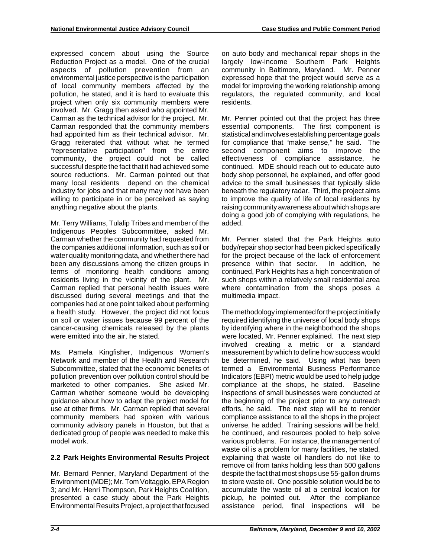expressed concern about using the Source Reduction Project as a model. One of the crucial aspects of pollution prevention from an environmental justice perspective is the participation of local community members affected by the pollution, he stated, and it is hard to evaluate this project when only six community members were involved. Mr. Gragg then asked who appointed Mr. Carman as the technical advisor for the project. Mr. Carman responded that the community members had appointed him as their technical advisor. Mr. Gragg reiterated that without what he termed "representative participation" from the entire community, the project could not be called successful despite the fact that it had achieved some source reductions. Mr. Carman pointed out that many local residents depend on the chemical industry for jobs and that many may not have been willing to participate in or be perceived as saying anything negative about the plants.

Mr. Terry Williams, Tulalip Tribes and member of the Indigenous Peoples Subcommittee, asked Mr. Carman whether the community had requested from the companies additional information, such as soil or water quality monitoring data, and whether there had been any discussions among the citizen groups in terms of monitoring health conditions among residents living in the vicinity of the plant. Mr. Carman replied that personal health issues were discussed during several meetings and that the companies had at one point talked about performing a health study. However, the project did not focus on soil or water issues because 99 percent of the cancer-causing chemicals released by the plants were emitted into the air, he stated.

Ms. Pamela Kingfisher, Indigenous Women's Network and member of the Health and Research Subcommittee, stated that the economic benefits of pollution prevention over pollution control should be marketed to other companies. She asked Mr. Carman whether someone would be developing guidance about how to adapt the project model for use at other firms. Mr. Carman replied that several community members had spoken with various community advisory panels in Houston, but that a dedicated group of people was needed to make this model work.

# **2.2 Park Heights Environmental Results Project**

Mr. Bernard Penner, Maryland Department of the Environment (MDE); Mr. Tom Voltaggio, EPA Region 3; and Mr. Henri Thompson, Park Heights Coalition, presented a case study about the Park Heights Environmental Results Project, a project that focused on auto body and mechanical repair shops in the largely low-income Southern Park Heights community in Baltimore, Maryland. Mr. Penner expressed hope that the project would serve as a model for improving the working relationship among regulators, the regulated community, and local residents.

Mr. Penner pointed out that the project has three essential components. The first component is statistical and involves establishing percentage goals for compliance that "make sense," he said. The second component aims to improve the effectiveness of compliance assistance, he continued. MDE should reach out to educate auto body shop personnel, he explained, and offer good advice to the small businesses that typically slide beneath the regulatory radar. Third, the project aims to improve the quality of life of local residents by raising community awareness about which shops are doing a good job of complying with regulations, he added.

Mr. Penner stated that the Park Heights auto body/repair shop sector had been picked specifically for the project because of the lack of enforcement presence within that sector. In addition, he continued, Park Heights has a high concentration of such shops within a relatively small residential area where contamination from the shops poses a multimedia impact.

The methodology implemented for the project initially required identifying the universe of local body shops by identifying where in the neighborhood the shops were located, Mr. Penner explained. The next step involved creating a metric or a standard measurement by which to define how success would be determined, he said. Using what has been termed a Environmental Business Performance Indicators (EBPI) metric would be used to help judge compliance at the shops, he stated. Baseline inspections of small businesses were conducted at the beginning of the project prior to any outreach efforts, he said. The next step will be to render compliance assistance to all the shops in the project universe, he added. Training sessions will be held, he continued, and resources pooled to help solve various problems. For instance, the management of waste oil is a problem for many facilities, he stated, explaining that waste oil handlers do not like to remove oil from tanks holding less than 500 gallons despite the fact that most shops use 55-gallon drums to store waste oil. One possible solution would be to accumulate the waste oil at a central location for pickup, he pointed out. After the compliance assistance period, final inspections will be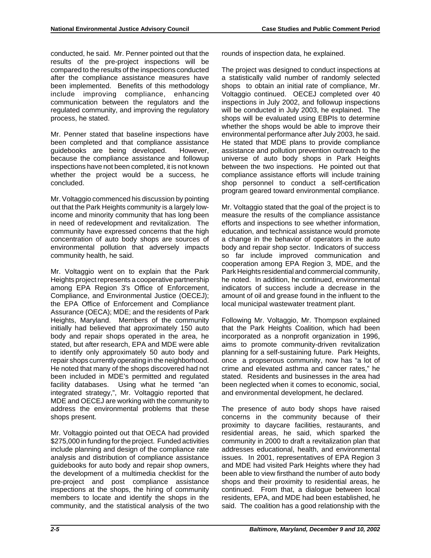conducted, he said. Mr. Penner pointed out that the results of the pre-project inspections will be compared to the results of the inspections conducted after the compliance assistance measures have been implemented. Benefits of this methodology include improving compliance, enhancing communication between the regulators and the regulated community, and improving the regulatory process, he stated.

Mr. Penner stated that baseline inspections have been completed and that compliance assistance guidebooks are being developed. However, because the compliance assistance and followup inspections have not been completed, it is not known whether the project would be a success, he concluded.

Mr. Voltaggio commenced his discussion by pointing out that the Park Heights community is a largely lowincome and minority community that has long been in need of redevelopment and revitalization. The community have expressed concerns that the high concentration of auto body shops are sources of environmental pollution that adversely impacts community health, he said.

Mr. Voltaggio went on to explain that the Park Heights project represents a cooperative partnership among EPA Region 3's Office of Enforcement, Compliance, and Environmental Justice (OECEJ); the EPA Office of Enforcement and Compliance Assurance (OECA); MDE; and the residents of Park Heights, Maryland. Members of the community initially had believed that approximately 150 auto body and repair shops operated in the area, he stated, but after research, EPA and MDE were able to identify only approximately 50 auto body and repair shops currently operating in the neighborhood. He noted that many of the shops discovered had not been included in MDE's permitted and regulated facility databases. Using what he termed "an integrated strategy,", Mr. Voltaggio reported that MDE and OECEJ are working with the community to address the environmental problems that these shops present.

Mr. Voltaggio pointed out that OECA had provided \$275,000 in funding for the project. Funded activities include planning and design of the compliance rate analysis and distribution of compliance assistance guidebooks for auto body and repair shop owners, the development of a multimedia checklist for the pre-project and post compliance assistance inspections at the shops, the hiring of community members to locate and identify the shops in the community, and the statistical analysis of the two

rounds of inspection data, he explained.

The project was designed to conduct inspections at a statistically valid number of randomly selected shops to obtain an initial rate of compliance, Mr. Voltaggio continued. OECEJ completed over 40 inspections in July 2002, and followup inspections will be conducted in July 2003, he explained. The shops will be evaluated using EBPIs to determine whether the shops would be able to improve their environmental performance after July 2003, he said. He stated that MDE plans to provide compliance assistance and pollution prevention outreach to the universe of auto body shops in Park Heights between the two inspections. He pointed out that compliance assistance efforts will include training shop personnel to conduct a self-certification program geared toward environmental compliance.

Mr. Voltaggio stated that the goal of the project is to measure the results of the compliance assistance efforts and inspections to see whether information, education, and technical assistance would promote a change in the behavior of operators in the auto body and repair shop sector. Indicators of success so far include improved communication and cooperation among EPA Region 3, MDE, and the Park Heights residential and commercial community, he noted. In addition, he continued, environmental indicators of success include a decrease in the amount of oil and grease found in the influent to the local municipal wastewater treatment plant.

Following Mr. Voltaggio, Mr. Thompson explained that the Park Heights Coalition, which had been incorporated as a nonprofit organization in 1996, aims to promote community-driven revitalization planning for a self-sustaining future. Park Heights, once a propserous community, now has "a lot of crime and elevated asthma and cancer rates," he stated. Residents and businesses in the area had been neglected when it comes to economic, social, and environmental development, he declared.

The presence of auto body shops have raised concerns in the community because of their proximity to daycare facilities, restaurants, and residential areas, he said, which sparked the community in 2000 to draft a revitalization plan that addresses educational, health, and environmental issues. In 2001, representatives of EPA Region 3 and MDE had visited Park Heights where they had been able to view firsthand the number of auto body shops and their proximity to residential areas, he continued. From that, a dialogue between local residents, EPA, and MDE had been established, he said. The coalition has a good relationship with the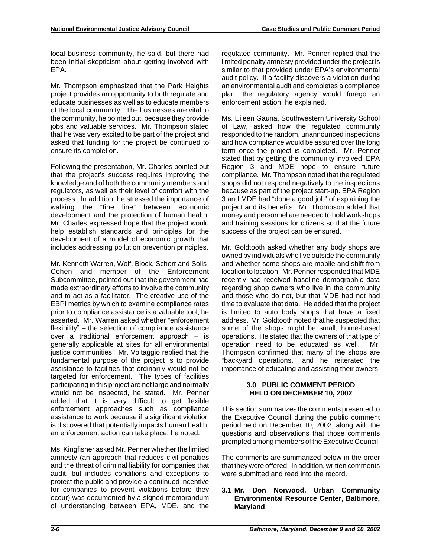local business community, he said, but there had been initial skepticism about getting involved with EPA.

Mr. Thompson emphasized that the Park Heights project provides an opportunity to both regulate and educate businesses as well as to educate members of the local community. The businesses are vital to the community, he pointed out, because they provide jobs and valuable services. Mr. Thompson stated that he was very excited to be part of the project and asked that funding for the project be continued to ensure its completion.

Following the presentation, Mr. Charles pointed out that the project's success requires improving the knowledge and of both the community members and regulators, as well as their level of comfort with the process. In addition, he stressed the importance of walking the "fine line" between economic development and the protection of human health. Mr. Charles expressed hope that the project would help establish standards and principles for the development of a model of economic growth that includes addressing pollution prevention principles.

Mr. Kenneth Warren, Wolf, Block, Schorr and Solis-Cohen and member of the Enforcement Subcommittee, pointed out that the government had made extraordinary efforts to involve the community and to act as a facilitator. The creative use of the EBPI metrics by which to examine compliance rates prior to compliance assistance is a valuable tool, he asserted. Mr. Warren asked whether "enforcement flexibility" – the selection of compliance assistance over a traditional enforcement approach – is generally applicable at sites for all environmental justice communities. Mr. Voltaggio replied that the fundamental purpose of the project is to provide assistance to facilities that ordinarily would not be targeted for enforcement. The types of facilities participating in this project are not large and normally would not be inspected, he stated. Mr. Penner added that it is very difficult to get flexible enforcement approaches such as compliance assistance to work because if a significant violation is discovered that potentially impacts human health, an enforcement action can take place, he noted.

Ms. Kingfisher asked Mr. Penner whether the limited amnesty (an approach that reduces civil penalties and the threat of criminal liability for companies that audit, but includes conditions and exceptions to protect the public and provide a continued incentive for companies to prevent violations before they occur) was documented by a signed memorandum of understanding between EPA, MDE, and the

regulated community. Mr. Penner replied that the limited penalty amnesty provided under the project is similar to that provided under EPA's environmental audit policy. If a facility discovers a violation during an environmental audit and completes a compliance plan, the regulatory agency would forego an enforcement action, he explained.

Ms. Eileen Gauna, Southwestern University School of Law, asked how the regulated community responded to the random, unannounced inspections and how compliance would be assured over the long term once the project is completed. Mr. Penner stated that by getting the community involved, EPA Region 3 and MDE hope to ensure future compliance. Mr. Thompson noted that the regulated shops did not respond negatively to the inspections because as part of the project start-up. EPA Region 3 and MDE had "done a good job" of explaining the project and its benefits. Mr. Thompson added that money and personnel are needed to hold workshops and training sessions for citizens so that the future success of the project can be ensured.

Mr. Goldtooth asked whether any body shops are owned by individuals who live outside the community and whether some shops are mobile and shift from location to location. Mr. Penner responded that MDE recently had received baseline demographic data regarding shop owners who live in the community and those who do not, but that MDE had not had time to evaluate that data. He added that the project is limited to auto body shops that have a fixed address. Mr. Goldtooth noted that he suspected that some of the shops might be small, home-based operations. He stated that the owners of that type of operation need to be educated as well. Mr. Thompson confirmed that many of the shops are "backyard operations," and he reiterated the importance of educating and assisting their owners.

# **3.0 PUBLIC COMMENT PERIOD HELD ON DECEMBER 10, 2002**

This section summarizes the comments presented to the Executive Council during the public comment period held on December 10, 2002, along with the questions and observations that those comments prompted among members of the Executive Council.

The comments are summarized below in the order that they were offered. In addition, written comments were submitted and read into the record.

## **3.1 Mr. Don Norwood, Urban Community Environmental Resource Center, Baltimore, Maryland**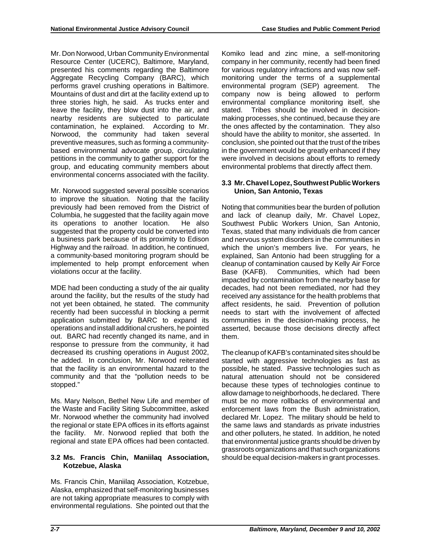Mr. Don Norwood, Urban Community Environmental Resource Center (UCERC), Baltimore, Maryland, presented his comments regarding the Baltimore Aggregate Recycling Company (BARC), which performs gravel crushing operations in Baltimore. Mountains of dust and dirt at the facility extend up to three stories high, he said. As trucks enter and leave the facility, they blow dust into the air, and nearby residents are subjected to particulate contamination, he explained. According to Mr. Norwood, the community had taken several preventive measures, such as forming a communitybased environmental advocate group, circulating petitions in the community to gather support for the group, and educating community members about environmental concerns associated with the facility.

Mr. Norwood suggested several possible scenarios to improve the situation. Noting that the facility previously had been removed from the District of Columbia, he suggested that the facility again move its operations to another location. He also suggested that the property could be converted into a business park because of its proximity to Edison Highway and the railroad. In addition, he continued, a community-based monitoring program should be implemented to help prompt enforcement when violations occur at the facility.

MDE had been conducting a study of the air quality around the facility, but the results of the study had not yet been obtained, he stated. The community recently had been successful in blocking a permit application submitted by BARC to expand its operations and install additional crushers, he pointed out. BARC had recently changed its name, and in response to pressure from the community, it had decreased its crushing operations in August 2002, he added. In conclusion, Mr. Norwood reiterated that the facility is an environmental hazard to the community and that the "pollution needs to be stopped."

Ms. Mary Nelson, Bethel New Life and member of the Waste and Facility Siting Subcommittee, asked Mr. Norwood whether the community had involved the regional or state EPA offices in its efforts against the facility. Mr. Norwood replied that both the regional and state EPA offices had been contacted.

# **3.2 Ms. Francis Chin, Maniilaq Association, Kotzebue, Alaska**

Ms. Francis Chin, Maniilaq Association, Kotzebue, Alaska, emphasized that self-monitoring businesses are not taking appropriate measures to comply with environmental regulations. She pointed out that the

Komiko lead and zinc mine, a self-monitoring company in her community, recently had been fined for various regulatory infractions and was now selfmonitoring under the terms of a supplemental environmental program (SEP) agreement. The company now is being allowed to perform environmental compliance monitoring itself, she stated. Tribes should be involved in decisionmaking processes, she continued, because they are the ones affected by the contamination. They also should have the ability to monitor, she asserted. In conclusion, she pointed out that the trust of the tribes in the government would be greatly enhanced if they were involved in decisions about efforts to remedy environmental problems that directly affect them.

## **3.3 Mr. Chavel Lopez, Southwest Public Workers Union, San Antonio, Texas**

Noting that communities bear the burden of pollution and lack of cleanup daily, Mr. Chavel Lopez, Southwest Public Workers Union, San Antonio, Texas, stated that many individuals die from cancer and nervous system disorders in the communities in which the union's members live. For years, he explained, San Antonio had been struggling for a cleanup of contamination caused by Kelly Air Force Base (KAFB). Communities, which had been impacted by contamination from the nearby base for decades, had not been remediated, nor had they received any assistance for the health problems that affect residents, he said. Prevention of pollution needs to start with the involvement of affected communities in the decision-making process, he asserted, because those decisions directly affect them.

The cleanup of KAFB's contaminated sites should be started with aggressive technologies as fast as possible, he stated. Passive technologies such as natural attenuation should not be considered because these types of technologies continue to allow damage to neighborhoods, he declared. There must be no more rollbacks of environmental and enforcement laws from the Bush administration, declared Mr. Lopez. The military should be held to the same laws and standards as private industries and other polluters, he stated. In addition, he noted that environmental justice grants should be driven by grassroots organizations and that such organizations should be equal decision-makers in grant processes.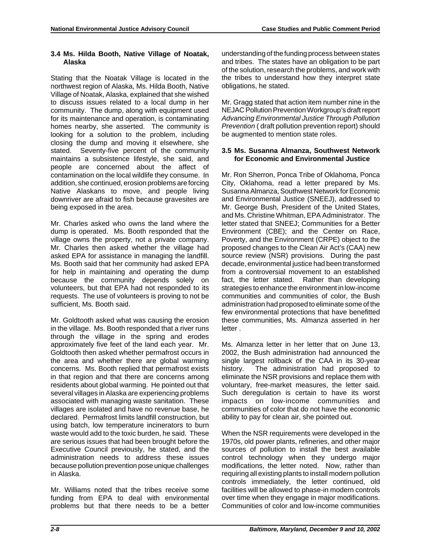#### **3.4 Ms. Hilda Booth, Native Village of Noatak, Alaska**

Stating that the Noatak Village is located in the northwest region of Alaska, Ms. Hilda Booth, Native Village of Noatak, Alaska, explained that she wished to discuss issues related to a local dump in her community. The dump, along with equipment used for its maintenance and operation, is contaminating homes nearby, she asserted. The community is looking for a solution to the problem, including closing the dump and moving it elsewhere, she stated. Seventy-five percent of the community maintains a subsistence lifestyle, she said, and people are concerned about the affect of contamination on the local wildlife they consume. In addition, she continued, erosion problems are forcing Native Alaskans to move, and people living downriver are afraid to fish because gravesites are being exposed in the area.

Mr. Charles asked who owns the land where the dump is operated. Ms. Booth responded that the village owns the property, not a private company. Mr. Charles then asked whether the village had asked EPA for assistance in managing the landfill. Ms. Booth said that her community had asked EPA for help in maintaining and operating the dump because the community depends solely on volunteers, but that EPA had not responded to its requests. The use of volunteers is proving to not be sufficient, Ms. Booth said.

Mr. Goldtooth asked what was causing the erosion in the village. Ms. Booth responded that a river runs through the village in the spring and erodes approximately five feet of the land each year. Mr. Goldtooth then asked whether permafrost occurs in the area and whether there are global warming concerns. Ms. Booth replied that permafrost exists in that region and that there are concerns among residents about global warming. He pointed out that several villages in Alaska are experiencing problems associated with managing waste sanitation. These villages are isolated and have no revenue base, he declared. Permafrost limits landfill construction, but using batch, low temperature incinerators to burn waste would add to the toxic burden, he said. These are serious issues that had been brought before the Executive Council previously, he stated, and the administration needs to address these issues because pollution prevention pose unique challenges in Alaska.

Mr. Williams noted that the tribes receive some funding from EPA to deal with environmental problems but that there needs to be a better

understanding of the funding process between states and tribes. The states have an obligation to be part of the solution, research the problems, and work with the tribes to understand how they interpret state obligations, he stated.

Mr. Gragg stated that action item number nine in the NEJAC Pollution Prevention Workgroup's draft report *Advancing Environmental Justice Through Pollution Prevention (draft pollution prevention report)* should be augmented to mention state roles.

#### **3.5 Ms. Susanna Almanza, Southwest Network for Economic and Environmental Justice**

Mr. Ron Sherron, Ponca Tribe of Oklahoma, Ponca City, Oklahoma, read a letter prepared by Ms. Susanna Almanza, Southwest Network for Economic and Environmental Justice (SNEEJ), addressed to Mr. George Bush, President of the United States, and Ms. Christine Whitman, EPA Administrator. The letter stated that SNEEJ; Communities for a Better Environment (CBE); and the Center on Race, Poverty, and the Environment (CRPE) object to the proposed changes to the Clean Air Act's (CAA) new source review (NSR) provisions. During the past decade, environmental justice had been transformed from a controversial movement to an established fact, the letter stated. Rather than developing strategies to enhance the environment in low-income communities and communities of color, the Bush administration had proposed to eliminate some of the few environmental protections that have benefitted these communities, Ms. Almanza asserted in her letter .

Ms. Almanza letter in her letter that on June 13, 2002, the Bush administration had announced the single largest rollback of the CAA in its 30-year history. The administration had proposed to eliminate the NSR provisions and replace them with voluntary, free-market measures, the letter said. Such deregulation is certain to have its worst impacts on low-income communities and communities of color that do not have the economic ability to pay for clean air, she pointed out.

When the NSR requirements were developed in the 1970s, old power plants, refineries, and other major sources of pollution to install the best available control technology when they undergo major modifications, the letter noted. Now, rather than requiring all existing plants to install modern pollution controls immediately, the letter continued, old facilities will be allowed to phase-in modern controls over time when they engage in major modifications. Communities of color and low-income communities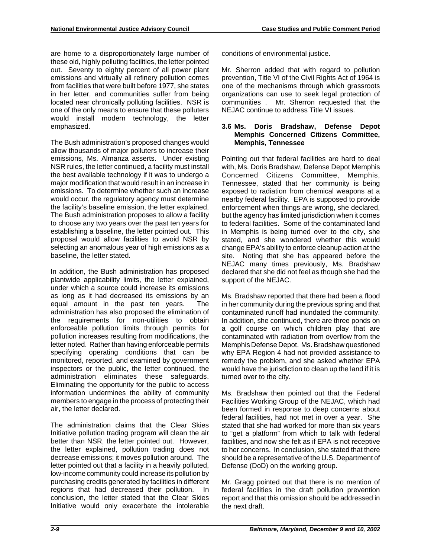are home to a disproportionately large number of these old, highly polluting facilities, the letter pointed out. Seventy to eighty percent of all power plant emissions and virtually all refinery pollution comes from facilities that were built before 1977, she states in her letter, and communities suffer from being located near chronically polluting facilities. NSR is one of the only means to ensure that these polluters would install modern technology, the letter emphasized.

The Bush administration's proposed changes would allow thousands of major polluters to increase their emissions, Ms. Almanza asserts. Under existing NSR rules, the letter continued, a facility must install the best available technology if it was to undergo a major modification that would result in an increase in emissions. To determine whether such an increase would occur, the regulatory agency must determine the facility's baseline emission, the letter explained. The Bush administration proposes to allow a facility to choose any two years over the past ten years for establishing a baseline, the letter pointed out. This proposal would allow facilities to avoid NSR by selecting an anomalous year of high emissions as a baseline, the letter stated.

In addition, the Bush administration has proposed plantwide applicability limits, the letter explained, under which a source could increase its emissions as long as it had decreased its emissions by an equal amount in the past ten years. The administration has also proposed the elimination of the requirements for non-utilities to obtain enforceable pollution limits through permits for pollution increases resulting from modifications, the letter noted. Rather than having enforceable permits specifying operating conditions that can be monitored, reported, and examined by government inspectors or the public, the letter continued, the administration eliminates these safeguards. Eliminating the opportunity for the public to access information undermines the ability of community members to engage in the process of protecting their air, the letter declared.

The administration claims that the Clear Skies Initiative pollution trading program will clean the air better than NSR, the letter pointed out. However, the letter explained, pollution trading does not decrease emissions; it moves pollution around. The letter pointed out that a facility in a heavily polluted, low-income community could increase its pollution by purchasing credits generated by facilities in different regions that had decreased their pollution. In conclusion, the letter stated that the Clear Skies Initiative would only exacerbate the intolerable

conditions of environmental justice.

Mr. Sherron added that with regard to pollution prevention, Title VI of the Civil Rights Act of 1964 is one of the mechanisms through which grassroots organizations can use to seek legal protection of communities . Mr. Sherron requested that the NEJAC continue to address Title VI issues.

#### **3.6 Ms. Doris Bradshaw, Defense Depot Memphis Concerned Citizens Committee, Memphis, Tennessee**

Pointing out that federal facilities are hard to deal with, Ms. Doris Bradshaw, Defense Depot Memphis Concerned Citizens Committee, Memphis, Tennessee, stated that her community is being exposed to radiation from chemical weapons at a nearby federal facility. EPA is supposed to provide enforcement when things are wrong, she declared, but the agency has limited jurisdiction when it comes to federal facilities. Some of the contaminated land in Memphis is being turned over to the city, she stated, and she wondered whether this would change EPA's ability to enforce cleanup action at the site. Noting that she has appeared before the NEJAC many times previously, Ms. Bradshaw declared that she did not feel as though she had the support of the NEJAC.

Ms. Bradshaw reported that there had been a flood in her community during the previous spring and that contaminated runoff had inundated the community. In addition, she continued, there are three ponds on a golf course on which children play that are contaminated with radiation from overflow from the Memphis Defense Depot. Ms. Bradshaw questioned why EPA Region 4 had not provided assistance to remedy the problem, and she asked whether EPA would have the jurisdiction to clean up the land if it is turned over to the city.

Ms. Bradshaw then pointed out that the Federal Facilities Working Group of the NEJAC, which had been formed in response to deep concerns about federal facilities, had not met in over a year. She stated that she had worked for more than six years to "get a platform" from which to talk with federal facilities, and now she felt as if EPA is not receptive to her concerns. In conclusion, she stated that there should be a representative of the U.S. Department of Defense (DoD) on the working group.

Mr. Gragg pointed out that there is no mention of federal facilities in the draft pollution prevention report and that this omission should be addressed in the next draft.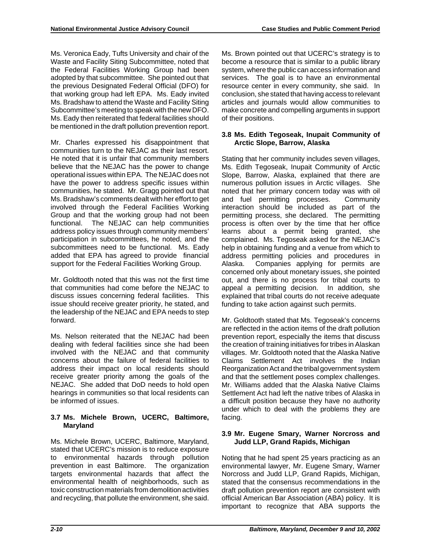Ms. Veronica Eady, Tufts University and chair of the Waste and Facility Siting Subcommittee, noted that the Federal Facilities Working Group had been adopted by that subcommittee. She pointed out that the previous Designated Federal Official (DFO) for that working group had left EPA. Ms. Eady invited Ms. Bradshaw to attend the Waste and Facility Siting Subcommittee's meeting to speak with the new DFO. Ms. Eady then reiterated that federal facilities should be mentioned in the draft pollution prevention report.

Mr. Charles expressed his disappointment that communities turn to the NEJAC as their last resort. He noted that it is unfair that community members believe that the NEJAC has the power to change operational issues within EPA. The NEJAC does not have the power to address specific issues within communities, he stated. Mr. Gragg pointed out that Ms. Bradshaw's comments dealt with her effort to get involved through the Federal Facilities Working Group and that the working group had not been functional. The NEJAC can help communities address policy issues through community members' participation in subcommittees, he noted, and the subcommittees need to be functional. Ms. Eady added that EPA has agreed to provide financial support for the Federal Facilities Working Group.

Mr. Goldtooth noted that this was not the first time that communities had come before the NEJAC to discuss issues concerning federal facilities. This issue should receive greater priority, he stated, and the leadership of the NEJAC and EPA needs to step forward.

Ms. Nelson reiterated that the NEJAC had been dealing with federal facilities since she had been involved with the NEJAC and that community concerns about the failure of federal facilities to address their impact on local residents should receive greater priority among the goals of the NEJAC. She added that DoD needs to hold open hearings in communities so that local residents can be informed of issues.

# **3.7 Ms. Michele Brown, UCERC, Baltimore, Maryland**

Ms. Michele Brown, UCERC, Baltimore, Maryland, stated that UCERC's mission is to reduce exposure to environmental hazards through pollution prevention in east Baltimore. The organization targets environmental hazards that affect the environmental health of neighborhoods, such as toxic construction materials from demolition activities and recycling, that pollute the environment, she said.

Ms. Brown pointed out that UCERC's strategy is to become a resource that is similar to a public library system, where the public can access information and services. The goal is to have an environmental resource center in every community, she said. In conclusion, she stated that having access to relevant articles and journals would allow communities to make concrete and compelling arguments in support of their positions.

# **3.8 Ms. Edith Tegoseak, Inupait Community of Arctic Slope, Barrow, Alaska**

Stating that her community includes seven villages, Ms. Edith Tegoseak, Inupait Community of Arctic Slope, Barrow, Alaska, explained that there are numerous pollution issues in Arctic villages. She noted that her primary concern today was with oil and fuel permitting processes. Community interaction should be included as part of the permitting process, she declared. The permitting process is often over by the time that her office learns about a permit being granted, she complained. Ms. Tegoseak asked for the NEJAC's help in obtaining funding and a venue from which to address permitting policies and procedures in Alaska. Companies applying for permits are concerned only about monetary issues, she pointed out, and there is no process for tribal courts to appeal a permitting decision. In addition, she explained that tribal courts do not receive adequate funding to take action against such permits.

Mr. Goldtooth stated that Ms. Tegoseak's concerns are reflected in the action items of the draft pollution prevention report, especially the items that discuss the creation of training initiatives for tribes in Alaskan villages. Mr. Goldtooth noted that the Alaska Native Claims Settlement Act involves the Indian Reorganization Act and the tribal government system and that the settlement poses complex challenges. Mr. Williams added that the Alaska Native Claims Settlement Act had left the native tribes of Alaska in a difficult position because they have no authority under which to deal with the problems they are facing.

# **3.9 Mr. Eugene Smary, Warner Norcross and Judd LLP, Grand Rapids, Michigan**

Noting that he had spent 25 years practicing as an environmental lawyer, Mr. Eugene Smary, Warner Norcross and Judd LLP, Grand Rapids, Michigan, stated that the consensus recommendations in the draft pollution prevention report are consistent with official American Bar Association (ABA) policy. It is important to recognize that ABA supports the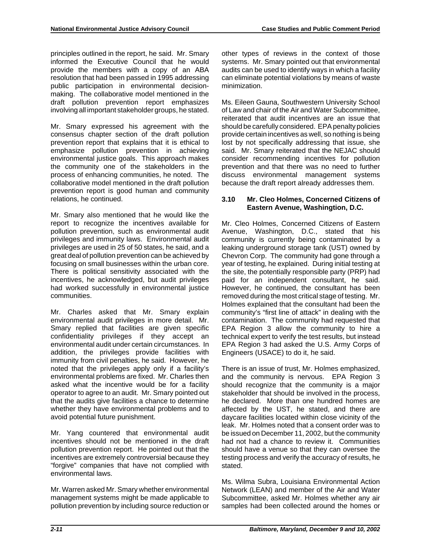principles outlined in the report, he said. Mr. Smary informed the Executive Council that he would provide the members with a copy of an ABA resolution that had been passed in 1995 addressing public participation in environmental decisionmaking. The collaborative model mentioned in the draft pollution prevention report emphasizes involving all important stakeholder groups, he stated.

Mr. Smary expressed his agreement with the consensus chapter section of the draft pollution prevention report that explains that it is ethical to emphasize pollution prevention in achieving environmental justice goals. This approach makes the community one of the stakeholders in the process of enhancing communities, he noted. The collaborative model mentioned in the draft pollution prevention report is good human and community relations, he continued.

Mr. Smary also mentioned that he would like the report to recognize the incentives available for pollution prevention, such as environmental audit privileges and immunity laws. Environmental audit privileges are used in 25 of 50 states, he said, and a great deal of pollution prevention can be achieved by focusing on small businesses within the urban core. There is political sensitivity associated with the incentives, he acknowledged, but audit privileges had worked successfully in environmental justice communities.

Mr. Charles asked that Mr. Smary explain environmental audit privileges in more detail. Mr. Smary replied that facilities are given specific confidentiality privileges if they accept an environmental audit under certain circumstances. In addition, the privileges provide facilities with immunity from civil penalties, he said. However, he noted that the privileges apply only if a facility's environmental problems are fixed. Mr. Charles then asked what the incentive would be for a facility operator to agree to an audit. Mr. Smary pointed out that the audits give facilities a chance to determine whether they have environmental problems and to avoid potential future punishment.

Mr. Yang countered that environmental audit incentives should not be mentioned in the draft pollution prevention report. He pointed out that the incentives are extremely controversial because they "forgive" companies that have not complied with environmental laws.

Mr. Warren asked Mr. Smary whether environmental management systems might be made applicable to pollution prevention by including source reduction or other types of reviews in the context of those systems. Mr. Smary pointed out that environmental audits can be used to identify ways in which a facility can eliminate potential violations by means of waste minimization.

Ms. Eileen Gauna, Southwestern University School of Law and chair of the Air and Water Subcommittee, reiterated that audit incentives are an issue that should be carefully considered. EPA penalty policies provide certain incentives as well, so nothing is being lost by not specifically addressing that issue, she said. Mr. Smary reiterated that the NEJAC should consider recommending incentives for pollution prevention and that there was no need to further discuss environmental management systems because the draft report already addresses them.

### **3.10 Mr. Cleo Holmes, Concerned Citizens of Eastern Avenue, Washingtion, D.C.**

Mr. Cleo Holmes, Concerned Citizens of Eastern Avenue, Washington, D.C., stated that his community is currently being contaminated by a leaking underground storage tank (UST) owned by Chevron Corp. The community had gone through a year of testing, he explained. During initial testing at the site, the potentially responsible party (PRP) had paid for an independent consultant, he said. However, he continued, the consultant has been removed during the most critical stage of testing. Mr. Holmes explained that the consultant had been the community's "first line of attack" in dealing with the contamination. The community had requested that EPA Region 3 allow the community to hire a technical expert to verify the test results, but instead EPA Region 3 had asked the U.S. Army Corps of Engineers (USACE) to do it, he said.

There is an issue of trust, Mr. Holmes emphasized, and the community is nervous. EPA Region 3 should recognize that the community is a major stakeholder that should be involved in the process, he declared. More than one hundred homes are affected by the UST, he stated, and there are daycare facilities located within close vicinity of the leak. Mr. Holmes noted that a consent order was to be issued on December 11, 2002, but the community had not had a chance to review it. Communities should have a venue so that they can oversee the testing process and verify the accuracy of results, he stated.

Ms. Wilma Subra, Louisiana Environmental Action Network (LEAN) and member of the Air and Water Subcommittee, asked Mr. Holmes whether any air samples had been collected around the homes or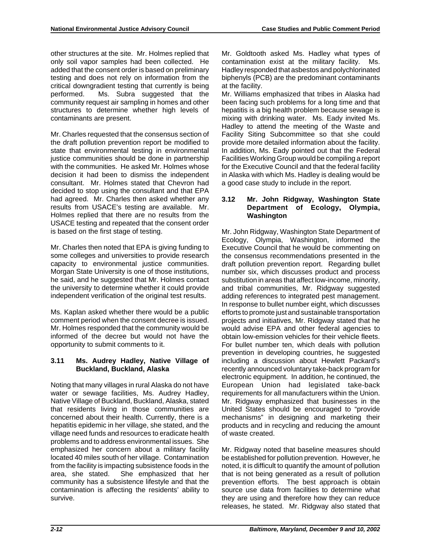other structures at the site. Mr. Holmes replied that only soil vapor samples had been collected. He added that the consent order is based on preliminary testing and does not rely on information from the critical downgradient testing that currently is being performed. Ms. Subra suggested that the community request air sampling in homes and other structures to determine whether high levels of contaminants are present.

Mr. Charles requested that the consensus section of the draft pollution prevention report be modified to state that environmental testing in environmental justice communities should be done in partnership with the communities. He asked Mr. Holmes whose decision it had been to dismiss the independent consultant. Mr. Holmes stated that Chevron had decided to stop using the consultant and that EPA had agreed. Mr. Charles then asked whether any results from USACE's testing are available. Mr. Holmes replied that there are no results from the USACE testing and repeated that the consent order is based on the first stage of testing.

Mr. Charles then noted that EPA is giving funding to some colleges and universities to provide research capacity to environmental justice communities. Morgan State University is one of those institutions, he said, and he suggested that Mr. Holmes contact the university to determine whether it could provide independent verification of the original test results.

Ms. Kaplan asked whether there would be a public comment period when the consent decree is issued. Mr. Holmes responded that the community would be informed of the decree but would not have the opportunity to submit comments to it.

#### **3.11 Ms. Audrey Hadley, Native Village of Buckland, Buckland, Alaska**

Noting that many villages in rural Alaska do not have water or sewage facilities, Ms. Audrey Hadley, Native Village of Buckland, Buckland, Alaska, stated that residents living in those communities are concerned about their health. Currently, there is a hepatitis epidemic in her village, she stated, and the village need funds and resources to eradicate health problems and to address environmental issues. She emphasized her concern about a military facility located 40 miles south of her village. Contamination from the facility is impacting subsistence foods in the area, she stated. She emphasized that her community has a subsistence lifestyle and that the contamination is affecting the residents' ability to survive.

Mr. Goldtooth asked Ms. Hadley what types of contamination exist at the military facility. Ms. Hadley responded that asbestos and polychlorinated biphenyls (PCB) are the predominant contaminants at the facility.

Mr. Williams emphasized that tribes in Alaska had been facing such problems for a long time and that hepatitis is a big health problem because sewage is mixing with drinking water. Ms. Eady invited Ms. Hadley to attend the meeting of the Waste and Facility Siting Subcommittee so that she could provide more detailed information about the facility. In addition, Ms. Eady pointed out that the Federal Facilities Working Group would be compiling a report for the Executive Council and that the federal facility in Alaska with which Ms. Hadley is dealing would be a good case study to include in the report.

### **3.12 Mr. John Ridgway, Washington State Department of Ecology, Olympia, Washington**

Mr. John Ridgway, Washington State Department of Ecology, Olympia, Washington, informed the Executive Council that he would be commenting on the consensus recommendations presented in the draft pollution prevention report. Regarding bullet number six, which discusses product and process substitution in areas that affect low-income, minority, and tribal communities. Mr. Ridgway suggested adding references to integrated pest management. In response to bullet number eight, which discusses efforts to promote just and sustainable transportation projects and initiatives, Mr. Ridgway stated that he would advise EPA and other federal agencies to obtain low-emission vehicles for their vehicle fleets. For bullet number ten, which deals with pollution prevention in developing countries, he suggested including a discussion about Hewlett Packard's recently announced voluntary take-back program for electronic equipment. In addition, he continued, the European Union had legislated take-back requirements for all manufacturers within the Union. Mr. Ridgway emphasized that businesses in the United States should be encouraged to "provide mechanisms" in designing and marketing their products and in recycling and reducing the amount of waste created.

Mr. Ridgway noted that baseline measures should be established for pollution prevention. However, he noted, it is difficult to quantify the amount of pollution that is not being generated as a result of pollution prevention efforts. The best approach is obtain source use data from facilities to determine what they are using and therefore how they can reduce releases, he stated. Mr. Ridgway also stated that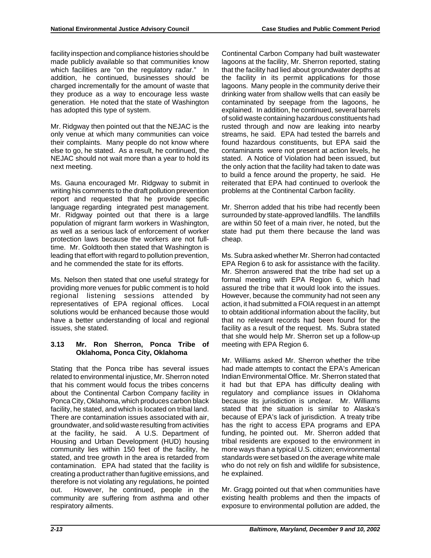facility inspection and compliance histories should be made publicly available so that communities know which facilities are "on the regulatory radar." In addition, he continued, businesses should be charged incrementally for the amount of waste that they produce as a way to encourage less waste generation. He noted that the state of Washington has adopted this type of system.

Mr. Ridgway then pointed out that the NEJAC is the only venue at which many communities can voice their complaints. Many people do not know where else to go, he stated. As a result, he continued, the NEJAC should not wait more than a year to hold its next meeting.

Ms. Gauna encouraged Mr. Ridgway to submit in writing his comments to the draft pollution prevention report and requested that he provide specific language regarding integrated pest management. Mr. Ridgway pointed out that there is a large population of migrant farm workers in Washington, as well as a serious lack of enforcement of worker protection laws because the workers are not fulltime. Mr. Goldtooth then stated that Washington is leading that effort with regard to pollution prevention, and he commended the state for its efforts.

Ms. Nelson then stated that one useful strategy for providing more venues for public comment is to hold regional listening sessions attended by representatives of EPA regional offices. Local solutions would be enhanced because those would have a better understanding of local and regional issues, she stated.

## **3.13 Mr. Ron Sherron, Ponca Tribe of Oklahoma, Ponca City, Oklahoma**

Stating that the Ponca tribe has several issues related to environmental injustice, Mr. Sherron noted that his comment would focus the tribes concerns about the Continental Carbon Company facility in Ponca City, Oklahoma, which produces carbon black facility, he stated, and which is located on tribal land. There are contamination issues associated with air, groundwater, and solid waste resulting from activities at the facility, he said. A U.S. Department of Housing and Urban Development (HUD) housing community lies within 150 feet of the facility, he stated, and tree growth in the area is retarded from contamination. EPA had stated that the facility is creating a product rather than fugitive emissions, and therefore is not violating any regulations, he pointed out. However, he continued, people in the community are suffering from asthma and other respiratory ailments.

Continental Carbon Company had built wastewater lagoons at the facility, Mr. Sherron reported, stating that the facility had lied about groundwater depths at the facility in its permit applications for those lagoons. Many people in the community derive their drinking water from shallow wells that can easily be contaminated by seepage from the lagoons, he explained. In addition, he continued, several barrels of solid waste containing hazardous constituents had rusted through and now are leaking into nearby streams, he said. EPA had tested the barrels and found hazardous constituents, but EPA said the contaminants were not present at action levels, he stated. A Notice of Violation had been issued, but the only action that the facility had taken to date was to build a fence around the property, he said. He reiterated that EPA had continued to overlook the problems at the Continental Carbon facility.

Mr. Sherron added that his tribe had recently been surrounded by state-approved landfills. The landfills are within 50 feet of a main river, he noted, but the state had put them there because the land was cheap.

Ms. Subra asked whether Mr. Sherron had contacted EPA Region 6 to ask for assistance with the facility. Mr. Sherron answered that the tribe had set up a formal meeting with EPA Region 6, which had assured the tribe that it would look into the issues. However, because the community had not seen any action, it had submitted a FOIA request in an attempt to obtain additional information about the facility, but that no relevant records had been found for the facility as a result of the request. Ms. Subra stated that she would help Mr. Sherron set up a follow-up meeting with EPA Region 6.

Mr. Williams asked Mr. Sherron whether the tribe had made attempts to contact the EPA's American Indian Environmental Office. Mr. Sherron stated that it had but that EPA has difficulty dealing with regulatory and compliance issues in Oklahoma because its jurisdiction is unclear. Mr. Williams stated that the situation is similar to Alaska's because of EPA's lack of jurisdiction. A treaty tribe has the right to access EPA programs and EPA funding, he pointed out. Mr. Sherron added that tribal residents are exposed to the environment in more ways than a typical U.S. citizen; environmental standards were set based on the average white male who do not rely on fish and wildlife for subsistence, he explained.

Mr. Gragg pointed out that when communities have existing health problems and then the impacts of exposure to environmental pollution are added, the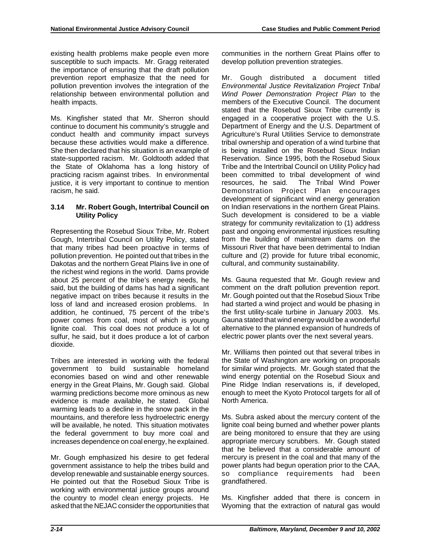existing health problems make people even more susceptible to such impacts. Mr. Gragg reiterated the importance of ensuring that the draft pollution prevention report emphasize that the need for pollution prevention involves the integration of the relationship between environmental pollution and health impacts.

Ms. Kingfisher stated that Mr. Sherron should continue to document his community's struggle and conduct health and community impact surveys because these activities would make a difference. She then declared that his situation is an example of state-supported racism. Mr. Goldtooth added that the State of Oklahoma has a long history of practicing racism against tribes. In environmental justice, it is very important to continue to mention racism, he said.

### **3.14 Mr. Robert Gough, Intertribal Council on Utility Policy**

Representing the Rosebud Sioux Tribe, Mr. Robert Gough, Intertribal Council on Utility Policy, stated that many tribes had been proactive in terms of pollution prevention. He pointed out that tribes in the Dakotas and the northern Great Plains live in one of the richest wind regions in the world. Dams provide about 25 percent of the tribe's energy needs, he said, but the building of dams has had a significant negative impact on tribes because it results in the loss of land and increased erosion problems. In addition, he continued, 75 percent of the tribe's power comes from coal, most of which is young lignite coal. This coal does not produce a lot of sulfur, he said, but it does produce a lot of carbon dioxide.

Tribes are interested in working with the federal government to build sustainable homeland economies based on wind and other renewable energy in the Great Plains, Mr. Gough said. Global warming predictions become more ominous as new evidence is made available, he stated. Global warming leads to a decline in the snow pack in the mountains, and therefore less hydroelectric energy will be available, he noted. This situation motivates the federal government to buy more coal and increases dependence on coal energy, he explained.

Mr. Gough emphasized his desire to get federal government assistance to help the tribes build and develop renewable and sustainable energy sources. He pointed out that the Rosebud Sioux Tribe is working with environmental justice groups around the country to model clean energy projects. He asked that the NEJAC consider the opportunities that communities in the northern Great Plains offer to develop pollution prevention strategies.

Mr. Gough distributed a document titled *Environmental Justice Revitalization Project Tribal Wind Power Demonstration Project Plan* to the members of the Executive Council. The document stated that the Rosebud Sioux Tribe currently is engaged in a cooperative project with the U.S. Department of Energy and the U.S. Department of Agriculture's Rural Utilities Service to demonstrate tribal ownership and operation of a wind turbine that is being installed on the Rosebud Sioux Indian Reservation. Since 1995, both the Rosebud Sioux Tribe and the Intertribal Council on Utility Policy had been committed to tribal development of wind resources, he said. The Tribal Wind Power Demonstration Project Plan encourages development of significant wind energy generation on Indian reservations in the northern Great Plains. Such development is considered to be a viable strategy for community revitalization to (1) address past and ongoing environmental injustices resulting from the building of mainstream dams on the Missouri River that have been detrimental to Indian culture and (2) provide for future tribal economic, cultural, and community sustainability.

Ms. Gauna requested that Mr. Gough review and comment on the draft pollution prevention report. Mr. Gough pointed out that the Rosebud Sioux Tribe had started a wind project and would be phasing in the first utility-scale turbine in January 2003. Ms. Gauna stated that wind energy would be a wonderful alternative to the planned expansion of hundreds of electric power plants over the next several years.

Mr. Williams then pointed out that several tribes in the State of Washington are working on proposals for similar wind projects. Mr. Gough stated that the wind energy potential on the Rosebud Sioux and Pine Ridge Indian reservations is, if developed, enough to meet the Kyoto Protocol targets for all of North America.

Ms. Subra asked about the mercury content of the lignite coal being burned and whether power plants are being monitored to ensure that they are using appropriate mercury scrubbers. Mr. Gough stated that he believed that a considerable amount of mercury is present in the coal and that many of the power plants had begun operation prior to the CAA, so compliance requirements had been grandfathered.

Ms. Kingfisher added that there is concern in Wyoming that the extraction of natural gas would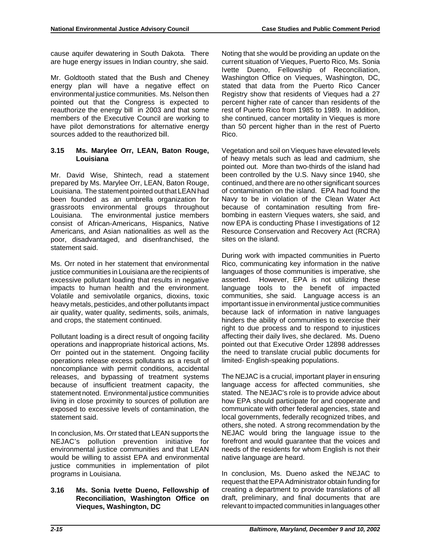cause aquifer dewatering in South Dakota. There are huge energy issues in Indian country, she said.

Mr. Goldtooth stated that the Bush and Cheney energy plan will have a negative effect on environmental justice communities. Ms. Nelson then pointed out that the Congress is expected to reauthorize the energy bill in 2003 and that some members of the Executive Council are working to have pilot demonstrations for alternative energy sources added to the reauthorized bill.

#### **3.15 Ms. Marylee Orr, LEAN, Baton Rouge, Louisiana**

Mr. David Wise, Shintech, read a statement prepared by Ms. Marylee Orr, LEAN, Baton Rouge, Louisiana. The statement pointed out that LEAN had been founded as an umbrella organization for grassroots environmental groups throughout Louisiana. The environmental justice members consist of African-Americans, Hispanics, Native Americans, and Asian nationalities as well as the poor, disadvantaged, and disenfranchised, the statement said.

Ms. Orr noted in her statement that environmental justice communities in Louisiana are the recipients of excessive pollutant loading that results in negative impacts to human health and the environment. Volatile and semivolatile organics, dioxins, toxic heavy metals, pesticides, and other pollutants impact air quality, water quality, sediments, soils, animals, and crops, the statement continued.

Pollutant loading is a direct result of ongoing facility operations and inappropriate historical actions, Ms. Orr pointed out in the statement. Ongoing facility operations release excess pollutants as a result of noncompliance with permit conditions, accidental releases, and bypassing of treatment systems because of insufficient treatment capacity, the statement noted. Environmental justice communities living in close proximity to sources of pollution are exposed to excessive levels of contamination, the statement said.

In conclusion, Ms. Orr stated that LEAN supports the NEJAC's pollution prevention initiative for environmental justice communities and that LEAN would be willing to assist EPA and environmental justice communities in implementation of pilot programs in Louisiana.

## **3.16 Ms. Sonia Ivette Dueno, Fellowship of Reconciliation, Washington Office on Vieques, Washington, DC**

Noting that she would be providing an update on the current situation of Vieques, Puerto Rico, Ms. Sonia Ivette Dueno, Fellowship of Reconciliation, Washington Office on Vieques, Washington, DC, stated that data from the Puerto Rico Cancer Registry show that residents of Vieques had a 27 percent higher rate of cancer than residents of the rest of Puerto Rico from 1985 to 1989. In addition, she continued, cancer mortality in Vieques is more than 50 percent higher than in the rest of Puerto Rico.

Vegetation and soil on Vieques have elevated levels of heavy metals such as lead and cadmium, she pointed out. More than two-thirds of the island had been controlled by the U.S. Navy since 1940, she continued, and there are no other significant sources of contamination on the island. EPA had found the Navy to be in violation of the Clean Water Act because of contamination resulting from firebombing in eastern Vieques waters, she said, and now EPA is conducting Phase I investigations of 12 Resource Conservation and Recovery Act (RCRA) sites on the island.

During work with impacted communities in Puerto Rico, communicating key information in the native languages of those communities is imperative, she asserted. However, EPA is not utilizing these language tools to the benefit of impacted communities, she said. Language access is an important issue in environmental justice communities because lack of information in native languages hinders the ability of communities to exercise their right to due process and to respond to injustices affecting their daily lives, she declared. Ms. Dueno pointed out that Executive Order 12898 addresses the need to translate crucial public documents for limited- English-speaking populations.

The NEJAC is a crucial, important player in ensuring language access for affected communities, she stated. The NEJAC's role is to provide advice about how EPA should participate for and cooperate and communicate with other federal agencies, state and local governments, federally recognized tribes, and others, she noted. A strong recommendation by the NEJAC would bring the language issue to the forefront and would guarantee that the voices and needs of the residents for whom English is not their native language are heard.

In conclusion, Ms. Dueno asked the NEJAC to request that the EPA Administrator obtain funding for creating a department to provide translations of all draft, preliminary, and final documents that are relevant to impacted communities in languages other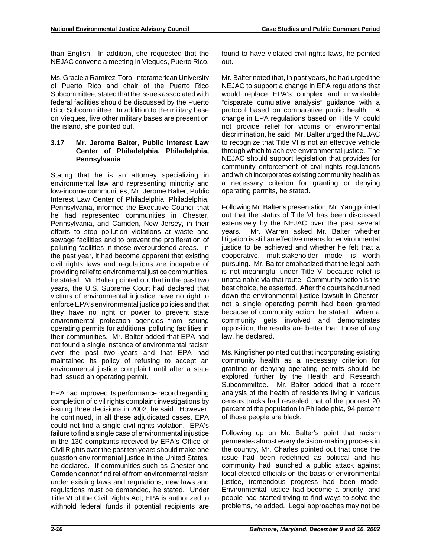than English. In addition, she requested that the NEJAC convene a meeting in Vieques, Puerto Rico.

Ms. Graciela Ramirez-Toro, Interamerican University of Puerto Rico and chair of the Puerto Rico Subcommittee, stated that the issues associated with federal facilities should be discussed by the Puerto Rico Subcommittee. In addition to the military base on Vieques, five other military bases are present on the island, she pointed out.

#### **3.17 Mr. Jerome Balter, Public Interest Law Center of Philadelphia, Philadelphia, Pennsylvania**

Stating that he is an attorney specializing in environmental law and representing minority and low-income communities, Mr. Jerome Balter, Public Interest Law Center of Philadelphia, Philadelphia, Pennsylvania, informed the Executive Council that he had represented communities in Chester, Pennsylvania, and Camden, New Jersey, in their efforts to stop pollution violations at waste and sewage facilities and to prevent the proliferation of polluting facilities in those overburdened areas. In the past year, it had become apparent that existing civil rights laws and regulations are incapable of providing relief to environmental justice communities, he stated. Mr. Balter pointed out that in the past two years, the U.S. Supreme Court had declared that victims of environmental injustice have no right to enforce EPA's environmental justice policies and that they have no right or power to prevent state environmental protection agencies from issuing operating permits for additional polluting facilities in their communities. Mr. Balter added that EPA had not found a single instance of environmental racism over the past two years and that EPA had maintained its policy of refusing to accept an environmental justice complaint until after a state had issued an operating permit.

EPA had improved its performance record regarding completion of civil rights complaint investigations by issuing three decisions in 2002, he said. However, he continued, in all these adjudicated cases, EPA could not find a single civil rights violation. EPA's failure to find a single case of environmental injustice in the 130 complaints received by EPA's Office of Civil Rights over the past ten years should make one question environmental justice in the United States, he declared. If communities such as Chester and Camden cannot find relief from environmental racism under existing laws and regulations, new laws and regulations must be demanded, he stated. Under Title VI of the Civil Rights Act, EPA is authorized to withhold federal funds if potential recipients are

found to have violated civil rights laws, he pointed out.

Mr. Balter noted that, in past years, he had urged the NEJAC to support a change in EPA regulations that would replace EPA's complex and unworkable "disparate cumulative analysis" guidance with a protocol based on comparative public health. A change in EPA regulations based on Title VI could not provide relief for victims of environmental discrimination, he said. Mr. Balter urged the NEJAC to recognize that Title VI is not an effective vehicle through which to achieve environmental justice. The NEJAC should support legislation that provides for community enforcement of civil rights regulations and which incorporates existing community health as a necessary criterion for granting or denying operating permits, he stated.

Following Mr. Balter's presentation, Mr. Yang pointed out that the status of Title VI has been discussed extensively by the NEJAC over the past several years. Mr. Warren asked Mr. Balter whether litigation is still an effective means for environmental justice to be achieved and whether he felt that a cooperative, multistakeholder model is worth pursuing. Mr. Balter emphasized that the legal path is not meaningful under Title VI because relief is unattainable via that route. Community action is the best choice, he asserted. After the courts had turned down the environmental justice lawsuit in Chester, not a single operating permit had been granted because of community action, he stated. When a community gets involved and demonstrates opposition, the results are better than those of any law, he declared.

Ms. Kingfisher pointed out that incorporating existing community health as a necessary criterion for granting or denying operating permits should be explored further by the Health and Research Subcommittee. Mr. Balter added that a recent analysis of the health of residents living in various census tracks had revealed that of the poorest 20 percent of the population in Philadelphia, 94 percent of those people are black.

Following up on Mr. Balter's point that racism permeates almost every decision-making process in the country, Mr. Charles pointed out that once the issue had been redefined as political and his community had launched a public attack against local elected officials on the basis of environmental justice, tremendous progress had been made. Environmental justice had become a priority, and people had started trying to find ways to solve the problems, he added. Legal approaches may not be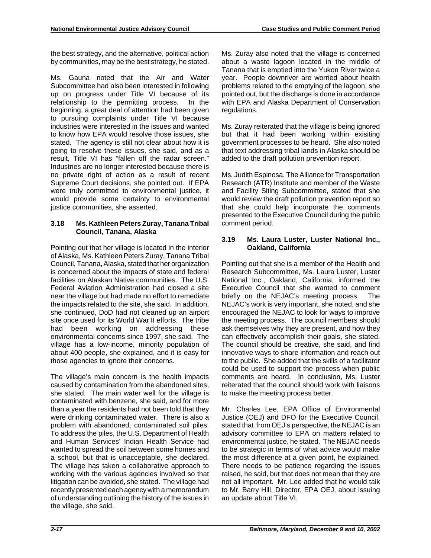the best strategy, and the alternative, political action by communities, may be the best strategy, he stated.

Ms. Gauna noted that the Air and Water Subcommittee had also been interested in following up on progress under Title VI because of its relationship to the permitting process. In the beginning, a great deal of attention had been given to pursuing complaints under Title VI because industries were interested in the issues and wanted to know how EPA would resolve those issues, she stated. The agency is still not clear about how it is going to resolve these issues, she said, and as a result, Title VI has "fallen off the radar screen." Industries are no longer interested because there is no private right of action as a result of recent Supreme Court decisions, she pointed out. If EPA were truly committed to environmental justice, it would provide some certainty to environmental justice communities, she asserted.

## **3.18 Ms. Kathleen Peters Zuray, Tanana Tribal Council, Tanana, Alaska**

Pointing out that her village is located in the interior of Alaska, Ms. Kathleen Peters Zuray, Tanana Tribal Council, Tanana, Alaska, stated that her organization is concerned about the impacts of state and federal facilities on Alaskan Native communities. The U.S. Federal Aviation Administration had closed a site near the village but had made no effort to remediate the impacts related to the site, she said. In addition, she continued, DoD had not cleaned up an airport site once used for its World War II efforts. The tribe had been working on addressing these environmental concerns since 1997, she said. The village has a low-income, minority population of about 400 people, she explained, and it is easy for those agencies to ignore their concerns.

The village's main concern is the health impacts caused by contamination from the abandoned sites, she stated. The main water well for the village is contaminated with benzene, she said, and for more than a year the residents had not been told that they were drinking contaminated water. There is also a problem with abandoned, contaminated soil piles. To address the piles, the U.S. Department of Health and Human Services' Indian Health Service had wanted to spread the soil between some homes and a school, but that is unacceptable, she declared. The village has taken a collaborative approach to working with the various agencies involved so that litigation can be avoided, she stated. The village had recently presented each agency with a memorandum of understanding outlining the history of the issues in the village, she said.

Ms. Zuray also noted that the village is concerned about a waste lagoon located in the middle of Tanana that is emptied into the Yukon River twice a year. People downriver are worried about health problems related to the emptying of the lagoon, she pointed out, but the discharge is done in accordance with EPA and Alaska Department of Conservation regulations.

Ms. Zuray reiterated that the village is being ignored but that it had been working within exisiting government processes to be heard. She also noted that text addressing tribal lands in Alaska should be added to the draft pollution prevention report.

Ms. Judith Espinosa, The Alliance for Transportation Research (ATR) Institute and member of the Waste and Facility Siting Subcommittee, stated that she would review the draft pollution prevention report so that she could help incorporate the comments presented to the Executive Council during the public comment period.

## **3.19 Ms. Laura Luster, Luster National Inc., Oakland, California**

Pointing out that she is a member of the Health and Research Subcommittee, Ms. Laura Luster, Luster National Inc., Oakland, California, informed the Executive Council that she wanted to comment briefly on the NEJAC's meeting process. The NEJAC's work is very important, she noted, and she encouraged the NEJAC to look for ways to improve the meeting process. The council members should ask themselves why they are present, and how they can effectively accomplish their goals, she stated. The council should be creative, she said, and find innovative ways to share information and reach out to the public. She added that the skills of a facilitator could be used to support the process when public comments are heard. In conclusion, Ms. Luster reiterated that the council should work with liaisons to make the meeting process better.

Mr. Charles Lee, EPA Office of Environmental Justice (OEJ) and DFO for the Executive Council, stated that from OEJ's perspective, the NEJAC is an advisory committee to EPA on matters related to environmental justice, he stated. The NEJAC needs to be strategic in terms of what advice would make the most difference at a given point, he explained. There needs to be patience regarding the issues raised, he said, but that does not mean that they are not all important. Mr. Lee added that he would talk to Mr. Barry Hill, Director, EPA OEJ, about issuing an update about Title VI.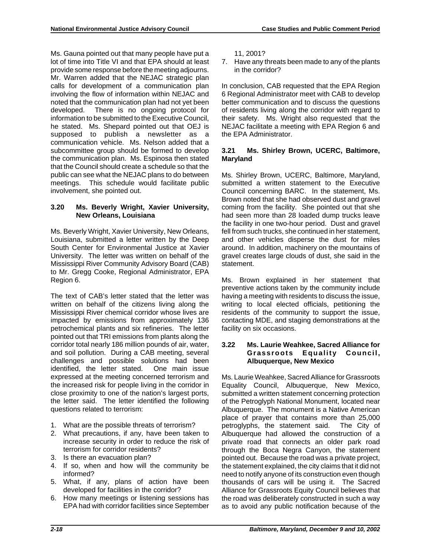Ms. Gauna pointed out that many people have put a lot of time into Title VI and that EPA should at least provide some response before the meeting adjourns. Mr. Warren added that the NEJAC strategic plan calls for development of a communication plan involving the flow of information within NEJAC and noted that the communication plan had not yet been developed. There is no ongoing protocol for information to be submitted to the Executive Council, he stated. Ms. Shepard pointed out that OEJ is supposed to publish a newsletter as a communication vehicle. Ms. Nelson added that a subcommittee group should be formed to develop the communication plan. Ms. Espinosa then stated that the Council should create a schedule so that the public can see what the NEJAC plans to do between meetings. This schedule would facilitate public involvement, she pointed out.

## **3.20 Ms. Beverly Wright, Xavier University, New Orleans, Louisiana**

Ms. Beverly Wright, Xavier University, New Orleans, Louisiana, submitted a letter written by the Deep South Center for Environmental Justice at Xavier University. The letter was written on behalf of the Mississippi River Community Advisory Board (CAB) to Mr. Gregg Cooke, Regional Administrator, EPA Region 6.

The text of CAB's letter stated that the letter was written on behalf of the citizens living along the Mississippi River chemical corridor whose lives are impacted by emissions from approximately 136 petrochemical plants and six refineries. The letter pointed out that TRI emissions from plants along the corridor total nearly 186 million pounds of air, water, and soil pollution. During a CAB meeting, several challenges and possible solutions had been identified, the letter stated. One main issue expressed at the meeting concerned terrorism and the increased risk for people living in the corridor in close proximity to one of the nation's largest ports, the letter said. The letter identified the following questions related to terrorism:

- 1. What are the possible threats of terrorism?
- 2. What precautions, if any, have been taken to increase security in order to reduce the risk of terrorism for corridor residents?
- 3. Is there an evacuation plan?
- 4. If so, when and how will the community be informed?
- 5. What, if any, plans of action have been developed for facilities in the corridor?
- 6. How many meetings or listening sessions has EPA had with corridor facilities since September

11, 2001?

7. Have any threats been made to any of the plants in the corridor?

In conclusion, CAB requested that the EPA Region 6 Regional Administrator meet with CAB to develop better communication and to discuss the questions of residents living along the corridor with regard to their safety. Ms. Wright also requested that the NEJAC facilitate a meeting with EPA Region 6 and the EPA Administrator.

## **3.21 Ms. Shirley Brown, UCERC, Baltimore, Maryland**

Ms. Shirley Brown, UCERC, Baltimore, Maryland, submitted a written statement to the Executive Council concerning BARC. In the statement, Ms. Brown noted that she had observed dust and gravel coming from the facility. She pointed out that she had seen more than 28 loaded dump trucks leave the facility in one two-hour period. Dust and gravel fell from such trucks, she continued in her statement, and other vehicles disperse the dust for miles around. In addition, machinery on the mountains of gravel creates large clouds of dust, she said in the statement.

Ms. Brown explained in her statement that preventive actions taken by the community include having a meeting with residents to discuss the issue, writing to local elected officials, petitioning the residents of the community to support the issue, contacting MDE, and staging demonstrations at the facility on six occasions.

### **3.22 Ms. Laurie Weahkee, Sacred Alliance for Grassroots Equality Council, Albuquerque, New Mexico**

Ms. Laurie Weahkee, Sacred Alliance for Grassroots Equality Council, Albuquerque, New Mexico, submitted a written statement concerning protection of the Petroglyph National Monument, located near Albuquerque. The monument is a Native American place of prayer that contains more than 25,000 petroglyphs, the statement said. The City of Albuquerque had allowed the construction of a private road that connects an older park road through the Boca Negra Canyon, the statement pointed out. Because the road was a private project, the statement explained, the city claims that it did not need to notify anyone of its construction even though thousands of cars will be using it. The Sacred Alliance for Grassroots Equity Council believes that the road was deliberately constructed in such a way as to avoid any public notification because of the